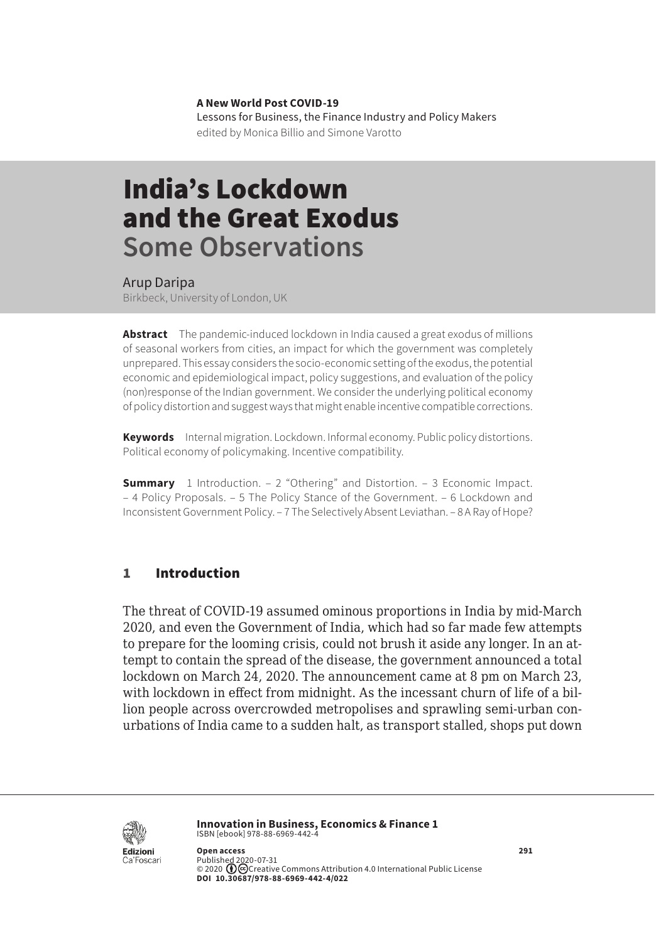**A New World Post COVID-19** Lessons for Business, the Finance Industry and Policy Makers edited by Monica Billio and Simone Varotto

# India's Lockdown and the Great Exodus **Some Observations**

Arup Daripa

Birkbeck, University of London, UK

**Abstract** The pandemic-induced lockdown in India caused a great exodus of millions of seasonal workers from cities, an impact for which the government was completely unprepared. This essay considers the socio-economic setting of the exodus, the potential economic and epidemiological impact, policy suggestions, and evaluation of the policy (non)response of the Indian government. We consider the underlying political economy of policy distortion and suggest ways that might enable incentive compatible corrections.

**Keywords** Internal migration. Lockdown. Informal economy. Public policy distortions. Political economy of policymaking. Incentive compatibility.

**Summary** [1 Introduction.](#page-1-0) - 2 "Othering" and Distortion. - 3 Economic Impact. [– 4 Policy Proposals](#page-3-0)[. – 5 The Policy Stance of the Government.](#page-4-0) [– 6 Lockdown and](#page-5-0) [Inconsistent Government Policy](#page-5-0)[. – 7 The Selectively Absent Leviathan](#page-6-0)[. – 8 A Ray of Hope?](#page-7-0)

#### 1 Introduction

The threat of COVID-19 assumed ominous proportions in India by mid-March 2020, and even the Government of India, which had so far made few attempts to prepare for the looming crisis, could not brush it aside any longer. In an attempt to contain the spread of the disease, the government announced a total lockdown on March 24, 2020. The announcement came at 8 pm on March 23, with lockdown in effect from midnight. As the incessant churn of life of a billion people across overcrowded metropolises and sprawling semi-urban conurbations of India came to a sudden halt, as transport stalled, shops put down



**Innovation in Business, Economics & Finance 1** ISBN [ebook] 978-88-6969-442-4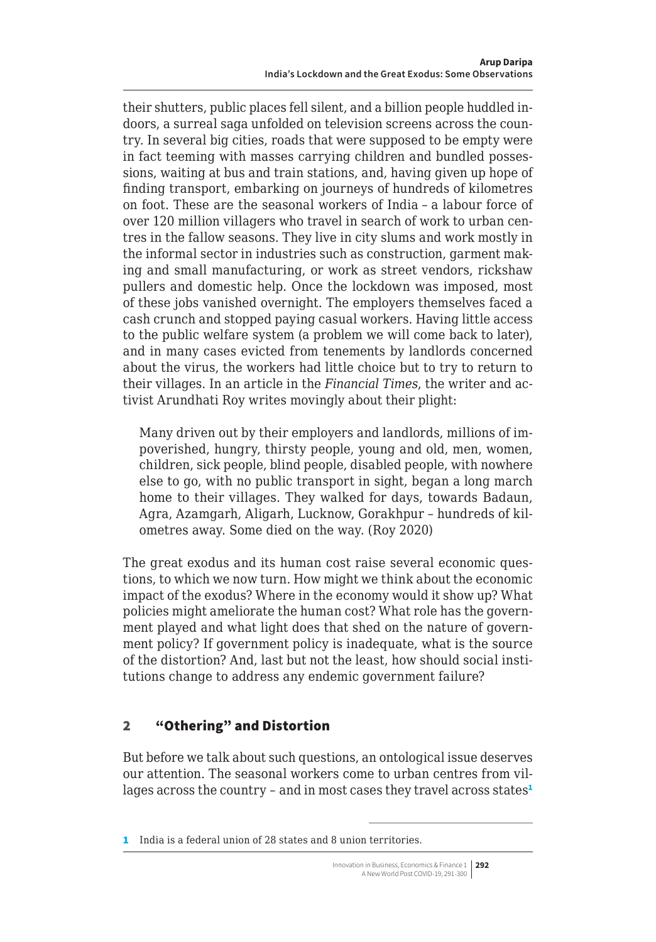<span id="page-1-0"></span>their shutters, public places fell silent, and a billion people huddled indoors, a surreal saga unfolded on television screens across the country. In several big cities, roads that were supposed to be empty were in fact teeming with masses carrying children and bundled possessions, waiting at bus and train stations, and, having given up hope of finding transport, embarking on journeys of hundreds of kilometres on foot. These are the seasonal workers of India – a labour force of over 120 million villagers who travel in search of work to urban centres in the fallow seasons. They live in city slums and work mostly in the informal sector in industries such as construction, garment making and small manufacturing, or work as street vendors, rickshaw pullers and domestic help. Once the lockdown was imposed, most of these jobs vanished overnight. The employers themselves faced a cash crunch and stopped paying casual workers. Having little access to the public welfare system (a problem we will come back to later), and in many cases evicted from tenements by landlords concerned about the virus, the workers had little choice but to try to return to their villages. In an article in the *Financial Times*, the writer and activist Arundhati Roy writes movingly about their plight:

Many driven out by their employers and landlords, millions of impoverished, hungry, thirsty people, young and old, men, women, children, sick people, blind people, disabled people, with nowhere else to go, with no public transport in sight, began a long march home to their villages. They walked for days, towards Badaun, Agra, Azamgarh, Aligarh, Lucknow, Gorakhpur – hundreds of kilometres away. Some died on the way. (Roy 2020)

The great exodus and its human cost raise several economic questions, to which we now turn. How might we think about the economic impact of the exodus? Where in the economy would it show up? What policies might ameliorate the human cost? What role has the government played and what light does that shed on the nature of government policy? If government policy is inadequate, what is the source of the distortion? And, last but not the least, how should social institutions change to address any endemic government failure?

# 2 "Othering" and Distortion

But before we talk about such questions, an ontological issue deserves our attention. The seasonal workers come to urban centres from villages across the country - and in most cases they travel across states<sup>1</sup>

1 India is a federal union of 28 states and 8 union territories.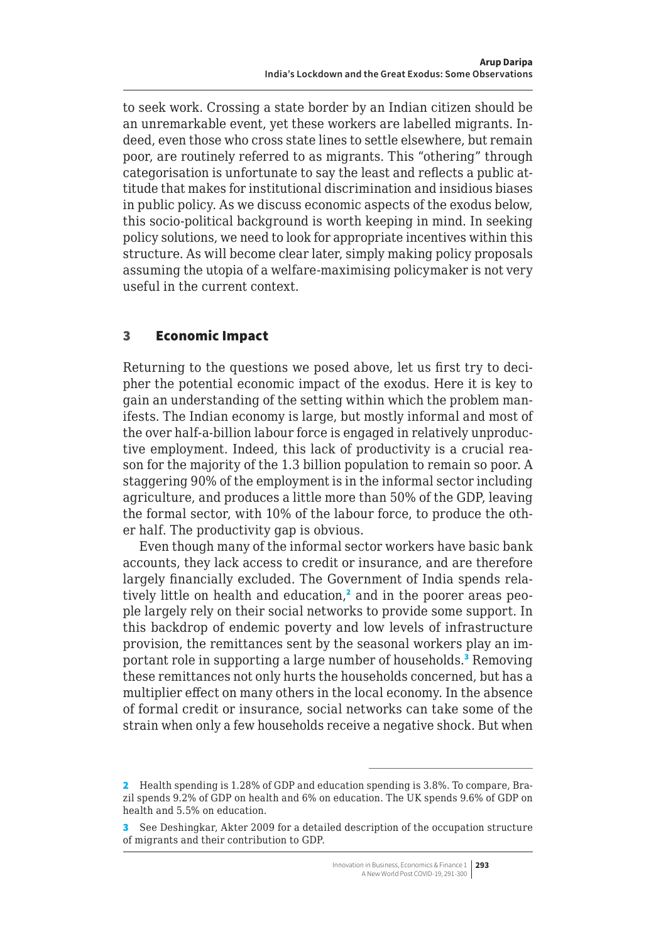<span id="page-2-0"></span>to seek work. Crossing a state border by an Indian citizen should be an unremarkable event, yet these workers are labelled migrants. Indeed, even those who cross state lines to settle elsewhere, but remain poor, are routinely referred to as migrants. This "othering" through categorisation is unfortunate to say the least and reflects a public attitude that makes for institutional discrimination and insidious biases in public policy. As we discuss economic aspects of the exodus below, this socio-political background is worth keeping in mind. In seeking policy solutions, we need to look for appropriate incentives within this structure. As will become clear later, simply making policy proposals assuming the utopia of a welfare-maximising policymaker is not very useful in the current context.

#### 3 Economic Impact

Returning to the questions we posed above, let us first try to decipher the potential economic impact of the exodus. Here it is key to gain an understanding of the setting within which the problem manifests. The Indian economy is large, but mostly informal and most of the over half-a-billion labour force is engaged in relatively unproductive employment. Indeed, this lack of productivity is a crucial reason for the majority of the 1.3 billion population to remain so poor. A staggering 90% of the employment is in the informal sector including agriculture, and produces a little more than 50% of the GDP, leaving the formal sector, with 10% of the labour force, to produce the other half. The productivity gap is obvious.

Even though many of the informal sector workers have basic bank accounts, they lack access to credit or insurance, and are therefore largely financially excluded. The Government of India spends relatively little on health and education,<sup>2</sup> and in the poorer areas people largely rely on their social networks to provide some support. In this backdrop of endemic poverty and low levels of infrastructure provision, the remittances sent by the seasonal workers play an important role in supporting a large number of households.<sup>3</sup> Removing these remittances not only hurts the households concerned, but has a multiplier effect on many others in the local economy. In the absence of formal credit or insurance, social networks can take some of the strain when only a few households receive a negative shock. But when

<sup>2</sup> Health spending is 1.28% of GDP and education spending is 3.8%. To compare, Brazil spends 9.2% of GDP on health and 6% on education. The UK spends 9.6% of GDP on health and 5.5% on education.

<sup>3</sup> See Deshingkar, Akter 2009 for a detailed description of the occupation structure of migrants and their contribution to GDP.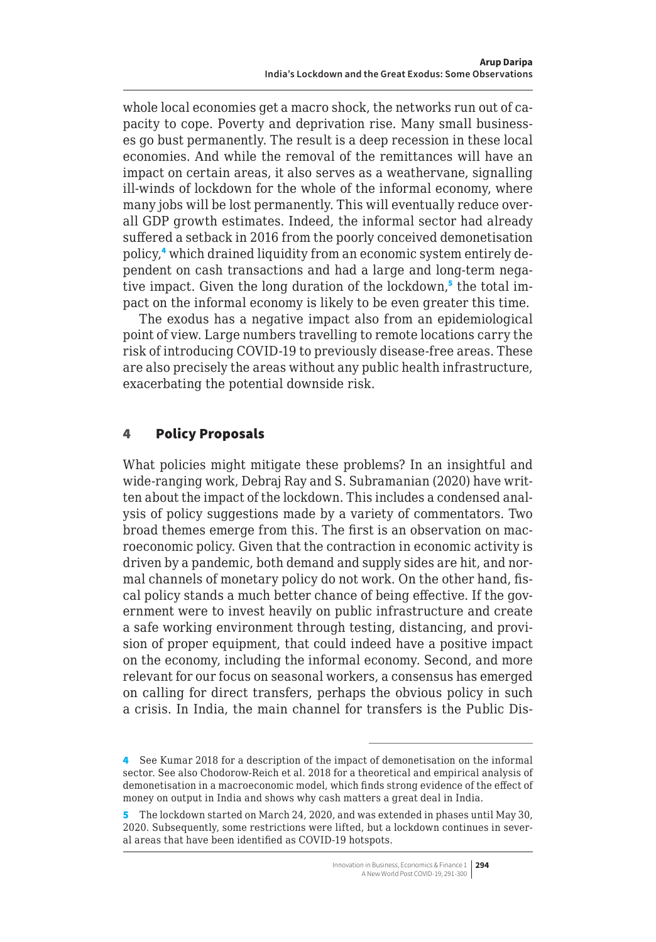<span id="page-3-0"></span>whole local economies get a macro shock, the networks run out of capacity to cope. Poverty and deprivation rise. Many small businesses go bust permanently. The result is a deep recession in these local economies. And while the removal of the remittances will have an impact on certain areas, it also serves as a weathervane, signalling ill-winds of lockdown for the whole of the informal economy, where many jobs will be lost permanently. This will eventually reduce overall GDP growth estimates. Indeed, the informal sector had already suffered a setback in 2016 from the poorly conceived demonetisation policy,<sup>4</sup> which drained liquidity from an economic system entirely dependent on cash transactions and had a large and long-term negative impact. Given the long duration of the lockdown,<sup>5</sup> the total impact on the informal economy is likely to be even greater this time.

The exodus has a negative impact also from an epidemiological point of view. Large numbers travelling to remote locations carry the risk of introducing COVID-19 to previously disease-free areas. These are also precisely the areas without any public health infrastructure, exacerbating the potential downside risk.

#### 4 Policy Proposals

What policies might mitigate these problems? In an insightful and wide-ranging work, Debraj Ray and S. Subramanian (2020) have written about the impact of the lockdown. This includes a condensed analysis of policy suggestions made by a variety of commentators. Two broad themes emerge from this. The first is an observation on macroeconomic policy. Given that the contraction in economic activity is driven by a pandemic, both demand and supply sides are hit, and normal channels of monetary policy do not work. On the other hand, fiscal policy stands a much better chance of being effective. If the government were to invest heavily on public infrastructure and create a safe working environment through testing, distancing, and provision of proper equipment, that could indeed have a positive impact on the economy, including the informal economy. Second, and more relevant for our focus on seasonal workers, a consensus has emerged on calling for direct transfers, perhaps the obvious policy in such a crisis. In India, the main channel for transfers is the Public Dis-

<sup>4</sup> See Kumar 2018 for a description of the impact of demonetisation on the informal sector. See also Chodorow-Reich et al. 2018 for a theoretical and empirical analysis of demonetisation in a macroeconomic model, which finds strong evidence of the effect of money on output in India and shows why cash matters a great deal in India.

<sup>5</sup> The lockdown started on March 24, 2020, and was extended in phases until May 30, 2020. Subsequently, some restrictions were lifted, but a lockdown continues in several areas that have been identified as COVID-19 hotspots.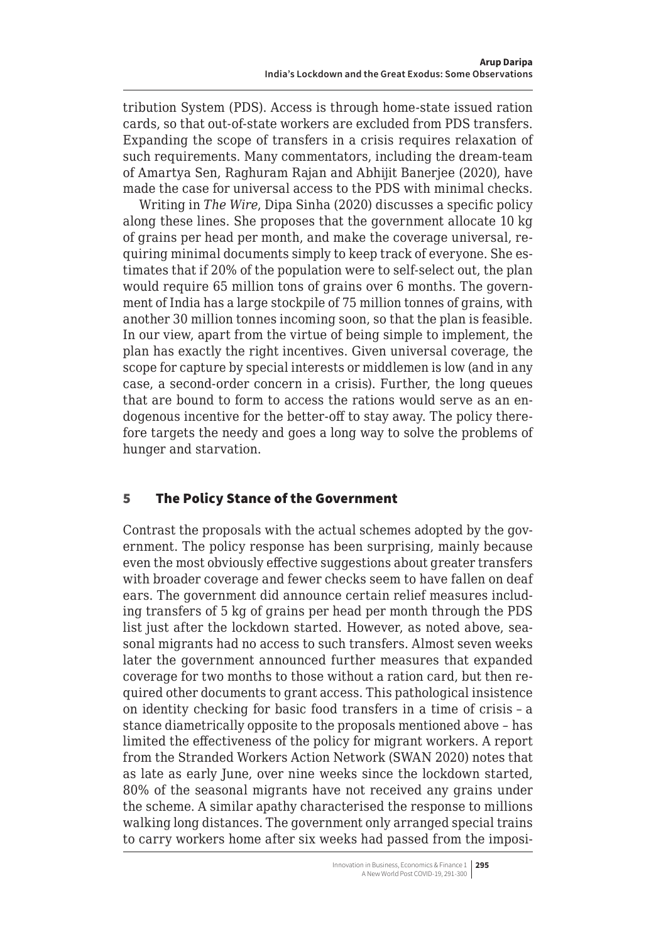<span id="page-4-0"></span>tribution System (PDS). Access is through home-state issued ration cards, so that out-of-state workers are excluded from PDS transfers. Expanding the scope of transfers in a crisis requires relaxation of such requirements. Many commentators, including the dream-team of Amartya Sen, Raghuram Rajan and Abhijit Banerjee (2020), have made the case for universal access to the PDS with minimal checks.

Writing in *The Wire*, Dipa Sinha (2020) discusses a specific policy along these lines. She proposes that the government allocate 10 kg of grains per head per month, and make the coverage universal, requiring minimal documents simply to keep track of everyone. She estimates that if 20% of the population were to self-select out, the plan would require 65 million tons of grains over 6 months. The government of India has a large stockpile of 75 million tonnes of grains, with another 30 million tonnes incoming soon, so that the plan is feasible. In our view, apart from the virtue of being simple to implement, the plan has exactly the right incentives. Given universal coverage, the scope for capture by special interests or middlemen is low (and in any case, a second-order concern in a crisis). Further, the long queues that are bound to form to access the rations would serve as an endogenous incentive for the better-off to stay away. The policy therefore targets the needy and goes a long way to solve the problems of hunger and starvation.

# 5 The Policy Stance of the Government

Contrast the proposals with the actual schemes adopted by the government. The policy response has been surprising, mainly because even the most obviously effective suggestions about greater transfers with broader coverage and fewer checks seem to have fallen on deaf ears. The government did announce certain relief measures including transfers of 5 kg of grains per head per month through the PDS list just after the lockdown started. However, as noted above, seasonal migrants had no access to such transfers. Almost seven weeks later the government announced further measures that expanded coverage for two months to those without a ration card, but then required other documents to grant access. This pathological insistence on identity checking for basic food transfers in a time of crisis – a stance diametrically opposite to the proposals mentioned above – has limited the effectiveness of the policy for migrant workers. A report from the Stranded Workers Action Network (SWAN 2020) notes that as late as early June, over nine weeks since the lockdown started, 80% of the seasonal migrants have not received any grains under the scheme. A similar apathy characterised the response to millions walking long distances. The government only arranged special trains to carry workers home after six weeks had passed from the imposi-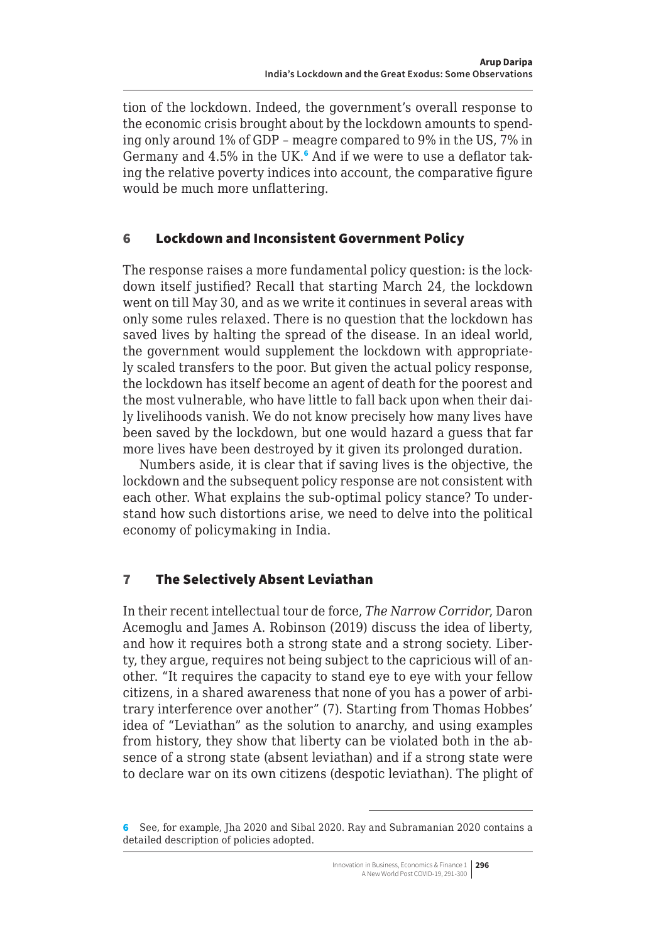<span id="page-5-0"></span>tion of the lockdown. Indeed, the government's overall response to the economic crisis brought about by the lockdown amounts to spending only around 1% of GDP – meagre compared to 9% in the US, 7% in Germany and 4.5% in the UK.<sup>6</sup> And if we were to use a deflator taking the relative poverty indices into account, the comparative figure would be much more unflattering.

#### 6 Lockdown and Inconsistent Government Policy

The response raises a more fundamental policy question: is the lockdown itself justified? Recall that starting March 24, the lockdown went on till May 30, and as we write it continues in several areas with only some rules relaxed. There is no question that the lockdown has saved lives by halting the spread of the disease. In an ideal world, the government would supplement the lockdown with appropriately scaled transfers to the poor. But given the actual policy response, the lockdown has itself become an agent of death for the poorest and the most vulnerable, who have little to fall back upon when their daily livelihoods vanish. We do not know precisely how many lives have been saved by the lockdown, but one would hazard a guess that far more lives have been destroyed by it given its prolonged duration.

Numbers aside, it is clear that if saving lives is the objective, the lockdown and the subsequent policy response are not consistent with each other. What explains the sub-optimal policy stance? To understand how such distortions arise, we need to delve into the political economy of policymaking in India.

# 7 The Selectively Absent Leviathan

In their recent intellectual tour de force, *The Narrow Corridor*, Daron Acemoglu and James A. Robinson (2019) discuss the idea of liberty, and how it requires both a strong state and a strong society. Liberty, they argue, requires not being subject to the capricious will of another. "It requires the capacity to stand eye to eye with your fellow citizens, in a shared awareness that none of you has a power of arbitrary interference over another" (7). Starting from Thomas Hobbes' idea of "Leviathan" as the solution to anarchy, and using examples from history, they show that liberty can be violated both in the absence of a strong state (absent leviathan) and if a strong state were to declare war on its own citizens (despotic leviathan). The plight of

<sup>6</sup> See, for example, Jha 2020 and Sibal 2020. Ray and Subramanian 2020 contains a detailed description of policies adopted.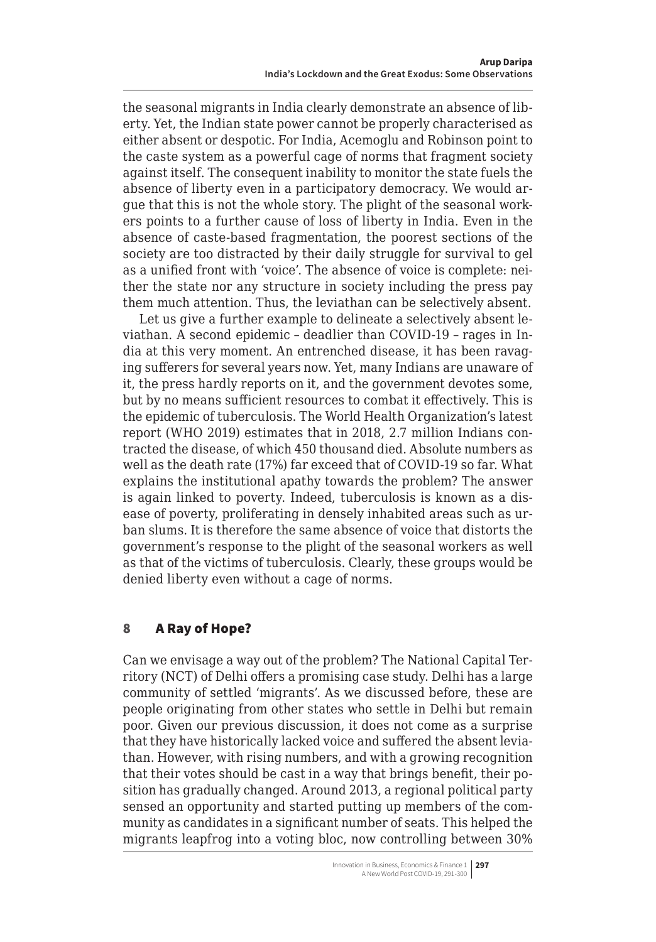<span id="page-6-0"></span>the seasonal migrants in India clearly demonstrate an absence of liberty. Yet, the Indian state power cannot be properly characterised as either absent or despotic. For India, Acemoglu and Robinson point to the caste system as a powerful cage of norms that fragment society against itself. The consequent inability to monitor the state fuels the absence of liberty even in a participatory democracy. We would argue that this is not the whole story. The plight of the seasonal workers points to a further cause of loss of liberty in India. Even in the absence of caste-based fragmentation, the poorest sections of the society are too distracted by their daily struggle for survival to gel as a unified front with 'voice'. The absence of voice is complete: neither the state nor any structure in society including the press pay them much attention. Thus, the leviathan can be selectively absent.

Let us give a further example to delineate a selectively absent leviathan. A second epidemic – deadlier than COVID-19 – rages in India at this very moment. An entrenched disease, it has been ravaging sufferers for several years now. Yet, many Indians are unaware of it, the press hardly reports on it, and the government devotes some, but by no means sufficient resources to combat it effectively. This is the epidemic of tuberculosis. The World Health Organization's latest report (WHO 2019) estimates that in 2018, 2.7 million Indians contracted the disease, of which 450 thousand died. Absolute numbers as well as the death rate (17%) far exceed that of COVID-19 so far. What explains the institutional apathy towards the problem? The answer is again linked to poverty. Indeed, tuberculosis is known as a disease of poverty, proliferating in densely inhabited areas such as urban slums. It is therefore the same absence of voice that distorts the government's response to the plight of the seasonal workers as well as that of the victims of tuberculosis. Clearly, these groups would be denied liberty even without a cage of norms.

# 8 A Ray of Hope?

Can we envisage a way out of the problem? The National Capital Territory (NCT) of Delhi offers a promising case study. Delhi has a large community of settled 'migrants'. As we discussed before, these are people originating from other states who settle in Delhi but remain poor. Given our previous discussion, it does not come as a surprise that they have historically lacked voice and suffered the absent leviathan. However, with rising numbers, and with a growing recognition that their votes should be cast in a way that brings benefit, their position has gradually changed. Around 2013, a regional political party sensed an opportunity and started putting up members of the community as candidates in a significant number of seats. This helped the migrants leapfrog into a voting bloc, now controlling between 30%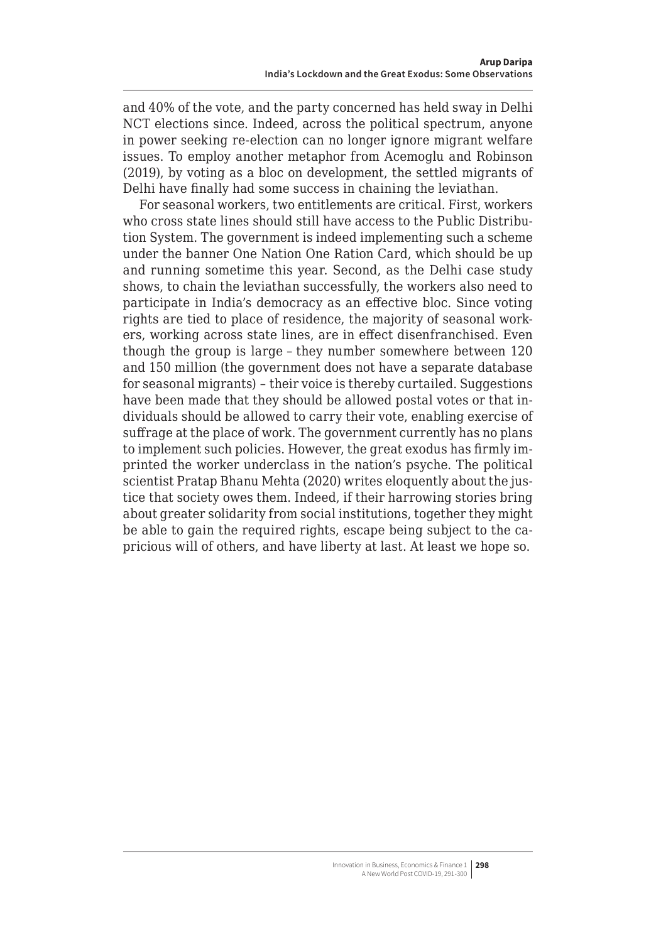<span id="page-7-0"></span>and 40% of the vote, and the party concerned has held sway in Delhi NCT elections since. Indeed, across the political spectrum, anyone in power seeking re-election can no longer ignore migrant welfare issues. To employ another metaphor from Acemoglu and Robinson (2019), by voting as a bloc on development, the settled migrants of Delhi have finally had some success in chaining the leviathan.

For seasonal workers, two entitlements are critical. First, workers who cross state lines should still have access to the Public Distribution System. The government is indeed implementing such a scheme under the banner One Nation One Ration Card, which should be up and running sometime this year. Second, as the Delhi case study shows, to chain the leviathan successfully, the workers also need to participate in India's democracy as an effective bloc. Since voting rights are tied to place of residence, the majority of seasonal workers, working across state lines, are in effect disenfranchised. Even though the group is large – they number somewhere between 120 and 150 million (the government does not have a separate database for seasonal migrants) – their voice is thereby curtailed. Suggestions have been made that they should be allowed postal votes or that individuals should be allowed to carry their vote, enabling exercise of suffrage at the place of work. The government currently has no plans to implement such policies. However, the great exodus has firmly imprinted the worker underclass in the nation's psyche. The political scientist Pratap Bhanu Mehta (2020) writes eloquently about the justice that society owes them. Indeed, if their harrowing stories bring about greater solidarity from social institutions, together they might be able to gain the required rights, escape being subject to the capricious will of others, and have liberty at last. At least we hope so.